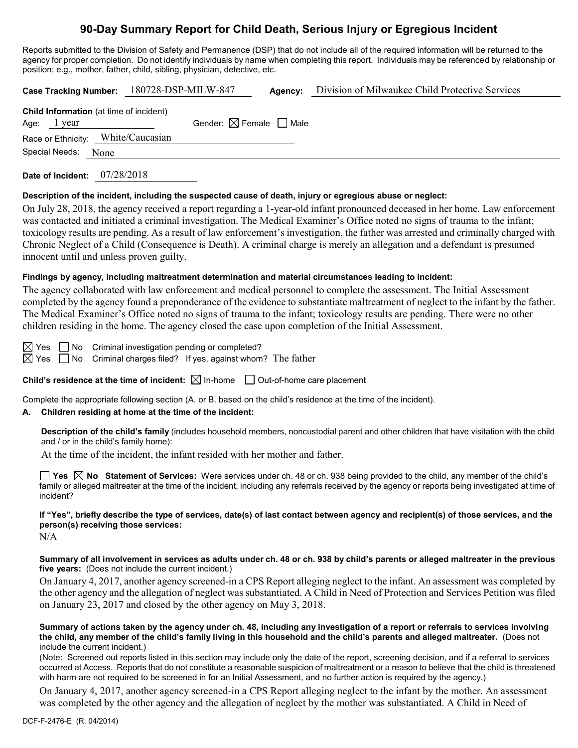# **90-Day Summary Report for Child Death, Serious Injury or Egregious Incident**

Reports submitted to the Division of Safety and Permanence (DSP) that do not include all of the required information will be returned to the agency for proper completion. Do not identify individuals by name when completing this report. Individuals may be referenced by relationship or position; e.g., mother, father, child, sibling, physician, detective, etc.

|                                                          | Case Tracking Number: 180728-DSP-MILW-847 | Agency: | Division of Milwaukee Child Protective Services |
|----------------------------------------------------------|-------------------------------------------|---------|-------------------------------------------------|
| Child Information (at time of incident)<br>Age: $1$ year | Gender: $\boxtimes$ Female $\Box$ Male    |         |                                                 |
| Race or Ethnicity: White/Caucasian                       |                                           |         |                                                 |
| Special Needs: None                                      |                                           |         |                                                 |
|                                                          |                                           |         |                                                 |

**Date of Incident:** 07/28/2018

### **Description of the incident, including the suspected cause of death, injury or egregious abuse or neglect:**

On July 28, 2018, the agency received a report regarding a 1-year-old infant pronounced deceased in her home. Law enforcement was contacted and initiated a criminal investigation. The Medical Examiner's Office noted no signs of trauma to the infant; toxicology results are pending. As a result of law enforcement's investigation, the father was arrested and criminally charged with Chronic Neglect of a Child (Consequence is Death). A criminal charge is merely an allegation and a defendant is presumed innocent until and unless proven guilty.

### **Findings by agency, including maltreatment determination and material circumstances leading to incident:**

The agency collaborated with law enforcement and medical personnel to complete the assessment. The Initial Assessment completed by the agency found a preponderance of the evidence to substantiate maltreatment of neglect to the infant by the father. The Medical Examiner's Office noted no signs of trauma to the infant; toxicology results are pending. There were no other children residing in the home. The agency closed the case upon completion of the Initial Assessment.

 $\boxtimes$  Yes  $\Box$  No Criminal investigation pending or completed?

 $\boxtimes$  Yes  $\Box$  No Criminal charges filed? If yes, against whom? The father

**Child's residence at the time of incident:**  $\boxtimes$  In-home  $\Box$  Out-of-home care placement

Complete the appropriate following section (A. or B. based on the child's residence at the time of the incident).

### **A. Children residing at home at the time of the incident:**

**Description of the child's family** (includes household members, noncustodial parent and other children that have visitation with the child and / or in the child's family home):

At the time of the incident, the infant resided with her mother and father.

**Yes No Statement of Services:** Were services under ch. 48 or ch. 938 being provided to the child, any member of the child's family or alleged maltreater at the time of the incident, including any referrals received by the agency or reports being investigated at time of incident?

# **If "Yes", briefly describe the type of services, date(s) of last contact between agency and recipient(s) of those services, and the person(s) receiving those services:**

N/A

**Summary of all involvement in services as adults under ch. 48 or ch. 938 by child's parents or alleged maltreater in the previous five years:** (Does not include the current incident.)

On January 4, 2017, another agency screened-in a CPS Report alleging neglect to the infant. An assessment was completed by the other agency and the allegation of neglect was substantiated. A Child in Need of Protection and Services Petition was filed on January 23, 2017 and closed by the other agency on May 3, 2018.

**Summary of actions taken by the agency under ch. 48, including any investigation of a report or referrals to services involving the child, any member of the child's family living in this household and the child's parents and alleged maltreater.** (Does not include the current incident.)

(Note: Screened out reports listed in this section may include only the date of the report, screening decision, and if a referral to services occurred at Access. Reports that do not constitute a reasonable suspicion of maltreatment or a reason to believe that the child is threatened with harm are not required to be screened in for an Initial Assessment, and no further action is required by the agency.)

On January 4, 2017, another agency screened-in a CPS Report alleging neglect to the infant by the mother. An assessment was completed by the other agency and the allegation of neglect by the mother was substantiated. A Child in Need of